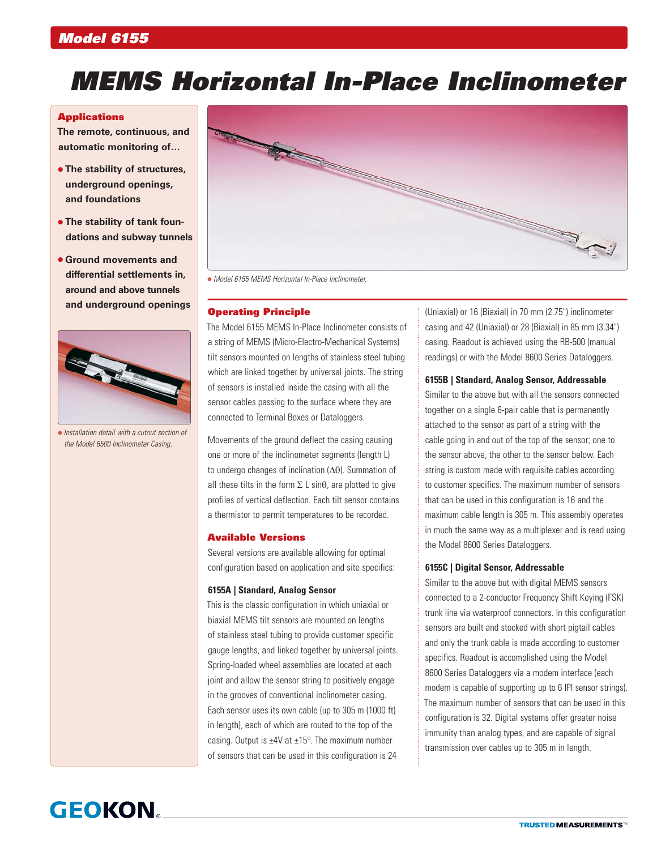# *Model 6155*

# *MEMS Horizontal In-Place Inclinometer*

#### **Applications**

**The remote, continuous, and automatic monitoring of…**

- **The stability of structures, underground openings, and foundations**
- **The stability of tank foundations and subway tunnels**
- **Ground movements and differential settlements in, around and above tunnels and underground openings**



 *Installation detail with a cutout section of the Model 6500 Inclinometer Casing.*



*Model 6155 MEMS Horizontal In-Place Inclinometer.*

# Operating Principle

The Model 6155 MEMS In-Place Inclinometer consists of a string of MEMS (Micro-Electro-Mechanical Systems) tilt sensors mounted on lengths of stainless steel tubing which are linked together by universal joints. The string of sensors is installed inside the casing with all the sensor cables passing to the surface where they are connected to Terminal Boxes or Dataloggers.

Movements of the ground deflect the casing causing one or more of the inclinometer segments (length L) to undergo changes of inclination (Δθ). Summation of all these tilts in the form  $\Sigma$  L sin $\theta$ , are plotted to give profiles of vertical deflection. Each tilt sensor contains a thermistor to permit temperatures to be recorded.

# Available Versions

Several versions are available allowing for optimal configuration based on application and site specifics:

#### **6155A | Standard, Analog Sensor**

This is the classic configuration in which uniaxial or biaxial MEMS tilt sensors are mounted on lengths of stainless steel tubing to provide customer specific gauge lengths, and linked together by universal joints. Spring-loaded wheel assemblies are located at each joint and allow the sensor string to positively engage in the grooves of conventional inclinometer casing. Each sensor uses its own cable (up to 305 m (1000 ft) in length), each of which are routed to the top of the casing. Output is  $\pm$ 4V at  $\pm$ 15°. The maximum number of sensors that can be used in this configuration is 24

(Uniaxial) or 16 (Biaxial) in 70 mm (2.75") inclinometer casing and 42 (Uniaxial) or 28 (Biaxial) in 85 mm (3.34") casing. Readout is achieved using the RB-500 (manual readings) or with the Model 8600 Series Dataloggers.

# **6155B | Standard, Analog Sensor, Addressable**

Similar to the above but with all the sensors connected together on a single 6-pair cable that is permanently attached to the sensor as part of a string with the cable going in and out of the top of the sensor; one to the sensor above, the other to the sensor below. Each string is custom made with requisite cables according to customer specifics. The maximum number of sensors that can be used in this configuration is 16 and the maximum cable length is 305 m. This assembly operates in much the same way as a multiplexer and is read using the Model 8600 Series Dataloggers.

### **6155C | Digital Sensor, Addressable**

Similar to the above but with digital MEMS sensors connected to a 2-conductor Frequency Shift Keying (FSK) trunk line via waterproof connectors. In this configuration sensors are built and stocked with short pigtail cables and only the trunk cable is made according to customer specifics. Readout is accomplished using the Model 8600 Series Dataloggers via a modem interface (each modem is capable of supporting up to 6 IPI sensor strings). The maximum number of sensors that can be used in this configuration is 32. Digital systems offer greater noise immunity than analog types, and are capable of signal transmission over cables up to 305 m in length.